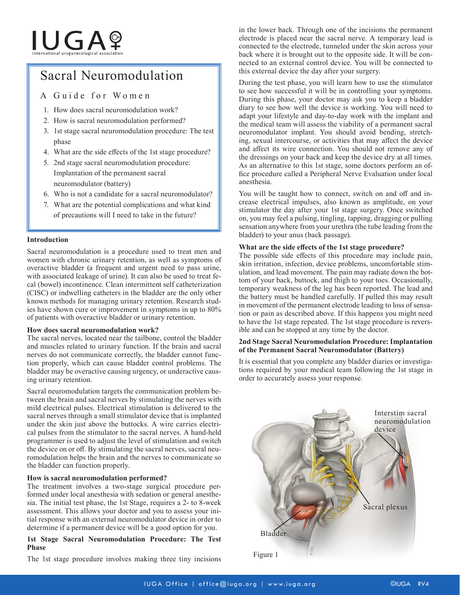# **IUGA**?

## Sacral Neuromodulation

### A Guide for Women

- 1. How does sacral neuromodulation work?
- 2. How is sacral neuromodulation performed?
- 3. 1st stage sacral neuromodulation procedure: The test phase
- 4. What are the side effects of the 1st stage procedure?
- 5. 2nd stage sacral neuromodulation procedure: Implantation of the permanent sacral neuromodulator (battery)
- 6. Who is not a candidate for a sacral neuromodulator?
- 7. What are the potential complications and what kind of precautions will I need to take in the future?

#### **Introduction**

Sacral neuromodulation is a procedure used to treat men and women with chronic urinary retention, as well as symptoms of overactive bladder (a frequent and urgent need to pass urine, with associated leakage of urine). It can also be used to treat fecal (bowel) incontinence. Clean intermittent self catheterization (CISC) or indwelling catheters in the bladder are the only other known methods for managing urinary retention. Research studies have shown cure or improvement in symptoms in up to 80% of patients with overactive bladder or urinary retention.

#### **How does sacral neuromodulation work?**

The sacral nerves, located near the tailbone, control the bladder and muscles related to urinary function. If the brain and sacral nerves do not communicate correctly, the bladder cannot function properly, which can cause bladder control problems. The bladder may be overactive causing urgency, or underactive causing urinary retention.

Sacral neuromodulation targets the communication problem between the brain and sacral nerves by stimulating the nerves with mild electrical pulses. Electrical stimulation is delivered to the sacral nerves through a small stimulator device that is implanted under the skin just above the buttocks. A wire carries electrical pulses from the stimulator to the sacral nerves. A hand-held programmer is used to adjust the level of stimulation and switch the device on or off. By stimulating the sacral nerves, sacral neuromodulation helps the brain and the nerves to communicate so the bladder can function properly.

#### **How is sacral neuromodulation performed?**

The treatment involves a two-stage surgical procedure performed under local anesthesia with sedation or general anesthesia. The initial test phase, the 1st Stage, requires a 2- to 8-week assessment. This allows your doctor and you to assess your initial response with an external neuromodulator device in order to determine if a permanent device will be a good option for you.

#### **1st Stage Sacral Neuromodulation Procedure: The Test Phase**

The 1st stage procedure involves making three tiny incisions Figure 1

in the lower back. Through one of the incisions the permanent electrode is placed near the sacral nerve. A temporary lead is connected to the electrode, tunneled under the skin across your back where it is brought out to the opposite side. It will be connected to an external control device. You will be connected to this external device the day after your surgery.

During the test phase, you will learn how to use the stimulator to see how successful it will be in controlling your symptoms. During this phase, your doctor may ask you to keep a bladder diary to see how well the device is working. You will need to adapt your lifestyle and day-to-day work with the implant and the medical team will assess the viability of a permanent sacral neuromodulator implant. You should avoid bending, stretching, sexual intercourse, or activities that may affect the device and affect its wire connection. You should not remove any of the dressings on your back and keep the device dry at all times. As an alternative to this 1st stage, some doctors perform an office procedure called a Peripheral Nerve Evaluation under local anesthesia.

You will be taught how to connect, switch on and off and increase electrical impulses, also known as amplitude, on your stimulator the day after your 1st stage surgery. Once switched on, you may feel a pulsing, tingling, tapping, dragging or pulling sensation anywhere from your urethra (the tube leading from the bladder) to your anus (back passage).

#### **What are the side effects of the 1st stage procedure?**

The possible side effects of this procedure may include pain, skin irritation, infection, device problems, uncomfortable stimulation, and lead movement. The pain may radiate down the bottom of your back, buttock, and thigh to your toes. Occasionally, temporary weakness of the leg has been reported. The lead and the battery must be handled carefully. If pulled this may result in movement of the permanent electrode leading to loss of sensation or pain as described above. If this happens you might need to have the 1st stage repeated. The 1st stage procedure is reversible and can be stopped at any time by the doctor.

#### **2nd Stage Sacral Neuromodulation Procedure: Implantation of the Permanent Sacral Neuromodulator (Battery)**

It is essential that you complete any bladder diaries or investigations required by your medical team following the 1st stage in order to accurately assess your response.